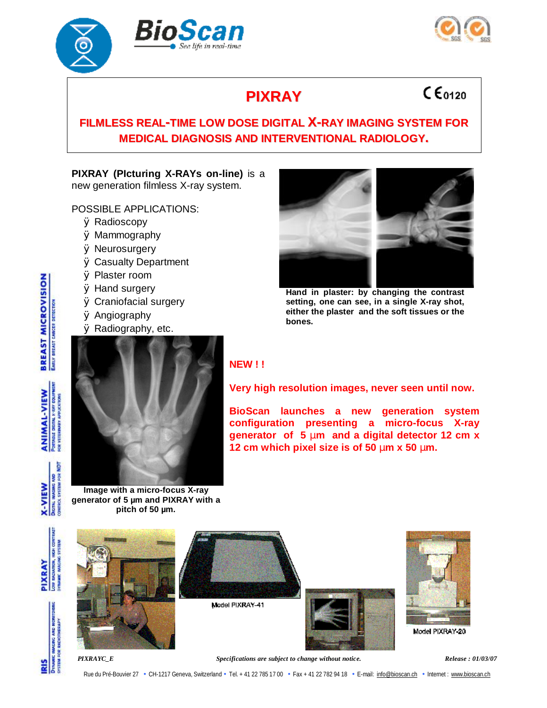





# **PIXRAY**

## $C<sub>6120</sub>$

## **FILMLESS REAL-TIME LOW DOSE DIGITAL X-RAY IMAGING SYSTEM FOR MEDICAL DIAGNOSIS AND INTERVENTIONAL RADIOLOGY.**

### **PIXRAY (PIcturing X-RAYs on-line)** is a new generation filmless X-ray system.

POSSIBLE APPLICATIONS:

- Ø Radioscopy
- Ø Mammography
- Ø Neurosurgery
- Ø Casualty Department
- Ø Plaster room
- Ø Hand surgery
- Ø Craniofacial surgery
- Ø Angiography
- Ø Radiography, etc.



**Hand in plaster: by changing the contrast setting, one can see, in a single X-ray shot, either the plaster and the soft tissues or the bones.**



#### **Image with a micro-focus X-ray generator of 5 µm and PIXRAY with a pitch of 50 µm.**

### **NEW ! !**

**Very high resolution images, never seen until now.** 

**BioScan launches a new generation system configuration presenting a micro-focus X-ray generator of 5 mm and a digital detector 12 cm x 12 cm which pixel size is of 50 mm x 50 mm.** 



*PIXRAYC\_E Specifications are subject to change without notice. Release : 01/03/07* 

Rue du Pré-Bouvier 27 · CH-1217 Geneva, Switzerland · Tel. + 41 22 785 17 00 · Fax + 41 22 782 94 18 · E-mail: [info@bioscan.ch](mailto:info@bioscan.ch) · Internet : [www.bioscan.ch](http://www.bioscan.ch)

**BREAST MICROVISION EARLY DREAST CANCER DETECTION** 

PORTAGLE DIGITAL X-RAY GOLFFMERT **ANIMAL-VIEW** FOR VETERINARY APPLICATIONS

ā FOR<sub>1</sub> g **DIGITAL IMAGING** MERCE SYSTEM **X-VIEW**